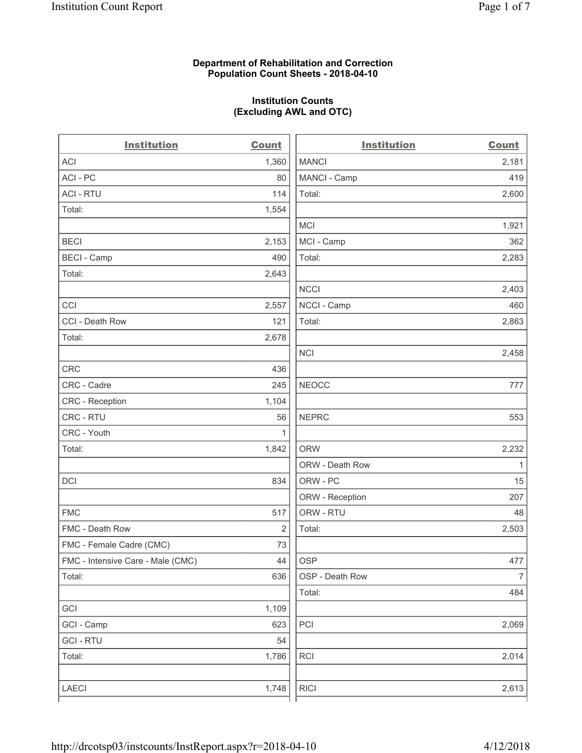### **Department of Rehabilitation and Correction Population Count Sheets - 2018-04-10**

## **Institution Counts (Excluding AWL and OTC)**

. .

| <b>Institution</b>                | <b>Count</b> | <b>Institution</b> | <b>Count</b>   |
|-----------------------------------|--------------|--------------------|----------------|
| ACI                               | 1,360        | <b>MANCI</b>       | 2,181          |
| ACI - PC                          | 80           | MANCI - Camp       | 419            |
| <b>ACI - RTU</b>                  | 114          | Total:             | 2,600          |
| Total:                            | 1,554        |                    |                |
|                                   |              | <b>MCI</b>         | 1,921          |
| <b>BECI</b>                       | 2,153        | MCI - Camp         | 362            |
| <b>BECI</b> - Camp                | 490          | Total:             | 2,283          |
| Total:                            | 2,643        |                    |                |
|                                   |              | <b>NCCI</b>        | 2,403          |
| CCI                               | 2,557        | NCCI - Camp        | 460            |
| CCI - Death Row                   | 121          | Total:             | 2,863          |
| Total:                            | 2,678        |                    |                |
|                                   |              | <b>NCI</b>         | 2,458          |
| <b>CRC</b>                        | 436          |                    |                |
| CRC - Cadre                       | 245          | <b>NEOCC</b>       | 777            |
| CRC - Reception                   | 1,104        |                    |                |
| CRC - RTU                         | 56           | <b>NEPRC</b>       | 553            |
| CRC - Youth                       | 1            |                    |                |
| Total:                            | 1,842        | <b>ORW</b>         | 2,232          |
|                                   |              | ORW - Death Row    | 1              |
| DCI                               | 834          | ORW - PC           | 15             |
|                                   |              | ORW - Reception    | 207            |
| <b>FMC</b>                        | 517          | ORW - RTU          | 48             |
| FMC - Death Row                   | 2            | Total:             | 2,503          |
| FMC - Female Cadre (CMC)          | 73           |                    |                |
| FMC - Intensive Care - Male (CMC) | 44           | <b>OSP</b>         | 477            |
| Total:                            | 636          | OSP - Death Row    | $\overline{7}$ |
|                                   |              | Total:             | 484            |
| GCI                               | 1,109        |                    |                |
| GCI - Camp                        | 623          | PCI                | 2,069          |
| <b>GCI-RTU</b>                    | 54           |                    |                |
| Total:                            | 1,786        | <b>RCI</b>         | 2,014          |
|                                   |              |                    |                |
| LAECI                             | 1,748        | <b>RICI</b>        | 2,613          |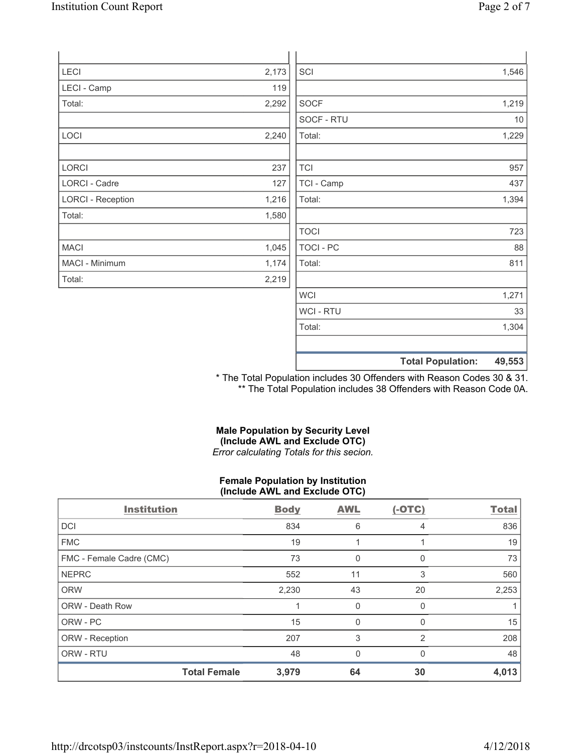| Page 2 of 7 |  |
|-------------|--|
|             |  |

| LECI                     | 2,173 | SCI            | 1,546                              |
|--------------------------|-------|----------------|------------------------------------|
| LECI - Camp              | 119   |                |                                    |
| Total:                   | 2,292 | <b>SOCF</b>    | 1,219                              |
|                          |       | SOCF - RTU     | 10                                 |
| LOCI                     | 2,240 | Total:         | 1,229                              |
|                          |       |                |                                    |
| LORCI                    | 237   | <b>TCI</b>     | 957                                |
| LORCI - Cadre            | 127   | TCI - Camp     | 437                                |
| <b>LORCI - Reception</b> | 1,216 | Total:         | 1,394                              |
| Total:                   | 1,580 |                |                                    |
|                          |       | <b>TOCI</b>    | 723                                |
| <b>MACI</b>              | 1,045 | TOCI - PC      | 88                                 |
| MACI - Minimum           | 1,174 | Total:         | 811                                |
| Total:                   | 2,219 |                |                                    |
|                          |       | <b>WCI</b>     | 1,271                              |
|                          |       | <b>WCI-RTU</b> | 33                                 |
|                          |       | Total:         | 1,304                              |
|                          |       |                | 49,553<br><b>Total Population:</b> |

\* The Total Population includes 30 Offenders with Reason Codes 30 & 31. \*\* The Total Population includes 38 Offenders with Reason Code 0A.

### **Male Population by Security Level (Include AWL and Exclude OTC)**  *Error calculating Totals for this secion.*

### **Female Population by Institution (Include AWL and Exclude OTC)**

| <b>Institution</b>       |                     | <b>Body</b> | <b>AWL</b>   | $(-OTC)$     | <b>Total</b> |
|--------------------------|---------------------|-------------|--------------|--------------|--------------|
| <b>DCI</b>               |                     | 834         | 6            | 4            | 836          |
| <b>FMC</b>               |                     | 19          |              |              | 19           |
| FMC - Female Cadre (CMC) |                     | 73          | 0            | 0            | 73           |
| <b>NEPRC</b>             |                     | 552         | 11           | 3            | 560          |
| <b>ORW</b>               |                     | 2,230       | 43           | 20           | 2,253        |
| <b>ORW - Death Row</b>   |                     |             | 0            | $\Omega$     |              |
| ORW - PC                 |                     | 15          | 0            | <sup>0</sup> | 15           |
| ORW - Reception          |                     | 207         | 3            | 2            | 208          |
| ORW - RTU                |                     | 48          | $\mathbf{0}$ | $\Omega$     | 48           |
|                          | <b>Total Female</b> | 3,979       | 64           | 30           | 4,013        |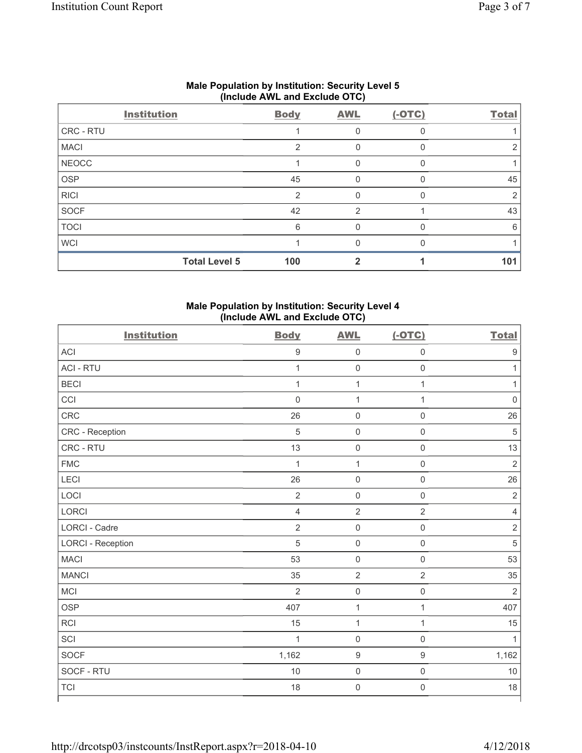|              | Include Arra and Exclude OTOJ |                |                |          |              |  |  |
|--------------|-------------------------------|----------------|----------------|----------|--------------|--|--|
|              | <b>Institution</b>            | <b>Body</b>    | <b>AWL</b>     | $(-OTC)$ | <b>Total</b> |  |  |
| CRC - RTU    |                               |                | 0              | 0        |              |  |  |
| <b>MACI</b>  |                               | $\overline{2}$ | 0              |          |              |  |  |
| <b>NEOCC</b> |                               |                | 0              | $\Omega$ |              |  |  |
| <b>OSP</b>   |                               | 45             |                |          | 45           |  |  |
| <b>RICI</b>  |                               | $\overline{2}$ | 0              | $\Omega$ | 2            |  |  |
| SOCF         |                               | 42             | $\overline{2}$ |          | 43           |  |  |
| <b>TOCI</b>  |                               | 6              | 0              | $\Omega$ | 6            |  |  |
| <b>WCI</b>   |                               |                |                |          |              |  |  |
|              | <b>Total Level 5</b>          | 100            |                |          | 101          |  |  |

### **Male Population by Institution: Security Level 5 (Include AWL and Exclude OTC)**

# **Male Population by Institution: Security Level 4 (Include AWL and Exclude OTC)**

| <b>Institution</b>       | <b>Body</b>      | <b>AWL</b>          | $(-OTC)$            | <b>Total</b>            |
|--------------------------|------------------|---------------------|---------------------|-------------------------|
| <b>ACI</b>               | $\boldsymbol{9}$ | $\mathsf{O}\xspace$ | $\mathbf 0$         | 9                       |
| <b>ACI - RTU</b>         | $\mathbf{1}$     | $\mathsf{O}\xspace$ | $\mathbf 0$         | $\mathbf{1}$            |
| <b>BECI</b>              | $\mathbf{1}$     | $\mathbf 1$         | $\mathbf{1}$        | $\mathbf{1}$            |
| CCI                      | $\mathbf 0$      | $\mathbf{1}$        | $\mathbf{1}$        | $\mathbf 0$             |
| CRC                      | 26               | $\mathsf 0$         | $\mathsf{O}\xspace$ | 26                      |
| CRC - Reception          | 5                | $\mathsf{O}\xspace$ | $\mathsf{O}\xspace$ | 5                       |
| CRC - RTU                | 13               | $\mathsf 0$         | $\mathsf 0$         | 13                      |
| <b>FMC</b>               | 1                | $\mathbf 1$         | $\mathsf{O}\xspace$ | $\overline{2}$          |
| <b>LECI</b>              | 26               | $\mathsf 0$         | $\mathsf{O}\xspace$ | 26                      |
| LOCI                     | $\sqrt{2}$       | $\mathsf{O}\xspace$ | $\mathsf{O}\xspace$ | $\overline{2}$          |
| LORCI                    | $\overline{4}$   | $\sqrt{2}$          | $\sqrt{2}$          | $\overline{\mathbf{4}}$ |
| <b>LORCI - Cadre</b>     | $\overline{2}$   | $\mathsf{O}\xspace$ | $\mathbf 0$         | $\overline{2}$          |
| <b>LORCI - Reception</b> | 5                | $\mathsf{O}\xspace$ | $\mathsf{O}\xspace$ | $\sqrt{5}$              |
| <b>MACI</b>              | 53               | $\mathsf 0$         | $\mathsf 0$         | 53                      |
| <b>MANCI</b>             | 35               | $\overline{2}$      | $\overline{2}$      | 35                      |
| MCI                      | $\overline{2}$   | $\mathsf{O}\xspace$ | $\mathbf 0$         | $\overline{2}$          |
| <b>OSP</b>               | 407              | $\mathbf{1}$        | $\mathbf{1}$        | 407                     |
| <b>RCI</b>               | 15               | $\mathbf 1$         | $\mathbf{1}$        | 15                      |
| SCI                      | $\mathbf{1}$     | $\mathsf 0$         | $\mathsf{O}\xspace$ | 1                       |
| SOCF                     | 1,162            | $\boldsymbol{9}$    | 9                   | 1,162                   |
| SOCF - RTU               | $10$             | $\mathsf 0$         | $\mathsf{O}\xspace$ | 10                      |
| <b>TCI</b>               | 18               | $\mathsf{O}\xspace$ | $\mathsf{O}\xspace$ | 18                      |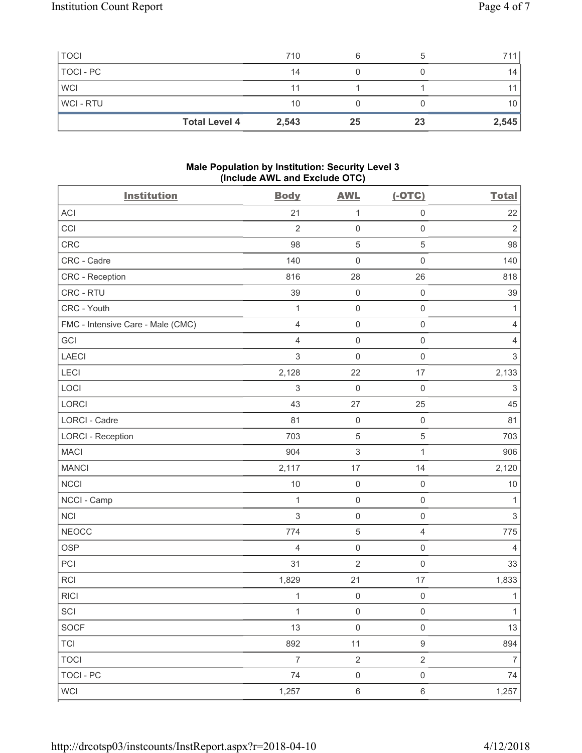| <b>Total Level 4</b> | 2,543 | 25 | 23 | 2,545 |
|----------------------|-------|----|----|-------|
| <b>WCI-RTU</b>       | 10    |    |    | 10    |
| <b>WCI</b>           | 11    |    |    |       |
| TOCI - PC            | 14    |    |    | 14    |
| <b>TOCI</b>          | 710   |    |    | 711   |

### **Male Population by Institution: Security Level 3 (Include AWL and Exclude OTC)**

| <b>Institution</b>                | <b>Body</b>    | <b>AWL</b>          | $(-OTC)$            | <b>Total</b>              |
|-----------------------------------|----------------|---------------------|---------------------|---------------------------|
| ACI                               | 21             | $\mathbf{1}$        | $\mathsf{O}\xspace$ | 22                        |
| CCI                               | $\overline{2}$ | $\mathsf{O}\xspace$ | $\mathsf{O}\xspace$ | $\overline{2}$            |
| CRC                               | 98             | $\,$ 5 $\,$         | 5                   | 98                        |
| CRC - Cadre                       | 140            | $\mathsf{O}\xspace$ | $\mathsf{O}\xspace$ | 140                       |
| CRC - Reception                   | 816            | 28                  | 26                  | 818                       |
| CRC - RTU                         | 39             | $\mathsf{O}\xspace$ | $\mathsf 0$         | 39                        |
| CRC - Youth                       | $\mathbf{1}$   | $\mathsf{O}\xspace$ | $\mathsf{O}\xspace$ | $\mathbf{1}$              |
| FMC - Intensive Care - Male (CMC) | $\overline{4}$ | $\mathsf{O}\xspace$ | $\mathsf{O}\xspace$ | $\overline{4}$            |
| GCI                               | $\overline{4}$ | $\mathsf{O}\xspace$ | $\mathsf{O}\xspace$ | $\overline{4}$            |
| LAECI                             | $\mathfrak{S}$ | $\mathbf 0$         | $\mathsf 0$         | $\mathsf 3$               |
| <b>LECI</b>                       | 2,128          | 22                  | 17                  | 2,133                     |
| LOCI                              | $\sqrt{3}$     | $\mathsf{O}\xspace$ | $\mathsf 0$         | $\ensuremath{\mathsf{3}}$ |
| LORCI                             | 43             | 27                  | 25                  | 45                        |
| <b>LORCI - Cadre</b>              | 81             | $\mathsf{O}\xspace$ | $\mathsf 0$         | 81                        |
| <b>LORCI - Reception</b>          | 703            | $\,$ 5 $\,$         | 5                   | 703                       |
| <b>MACI</b>                       | 904            | $\,$ 3 $\,$         | $\mathbf{1}$        | 906                       |
| <b>MANCI</b>                      | 2,117          | $17\,$              | 14                  | 2,120                     |
| <b>NCCI</b>                       | 10             | $\mathsf{O}\xspace$ | $\mathsf{O}\xspace$ | 10                        |
| NCCI - Camp                       | 1              | $\mathsf{O}\xspace$ | $\mathsf 0$         | 1                         |
| <b>NCI</b>                        | $\mathbf{3}$   | $\mathsf{O}\xspace$ | $\mathsf{O}\xspace$ | $\mathsf 3$               |
| <b>NEOCC</b>                      | 774            | $\,$ 5 $\,$         | $\overline{4}$      | 775                       |
| <b>OSP</b>                        | $\overline{4}$ | $\mathsf{O}\xspace$ | $\mathsf{O}\xspace$ | $\overline{4}$            |
| PCI                               | 31             | $\overline{2}$      | $\mathsf{O}\xspace$ | 33                        |
| <b>RCI</b>                        | 1,829          | 21                  | 17                  | 1,833                     |
| <b>RICI</b>                       | 1              | $\mathbf 0$         | $\mathsf 0$         | $\mathbf{1}$              |
| SCI                               | $\mathbf{1}$   | $\mathsf{O}\xspace$ | $\mathsf{O}\xspace$ | $\mathbf{1}$              |
| SOCF                              | 13             | $\mathsf{O}\xspace$ | $\mathsf{O}\xspace$ | 13                        |
| <b>TCI</b>                        | 892            | 11                  | 9                   | 894                       |
| <b>TOCI</b>                       | $\overline{7}$ | $\sqrt{2}$          | $\overline{2}$      | $\overline{7}$            |
| <b>TOCI - PC</b>                  | 74             | $\mathsf{O}\xspace$ | $\mathsf{O}\xspace$ | 74                        |
| <b>WCI</b>                        | 1,257          | $\,6\,$             | $\,6\,$             | 1,257                     |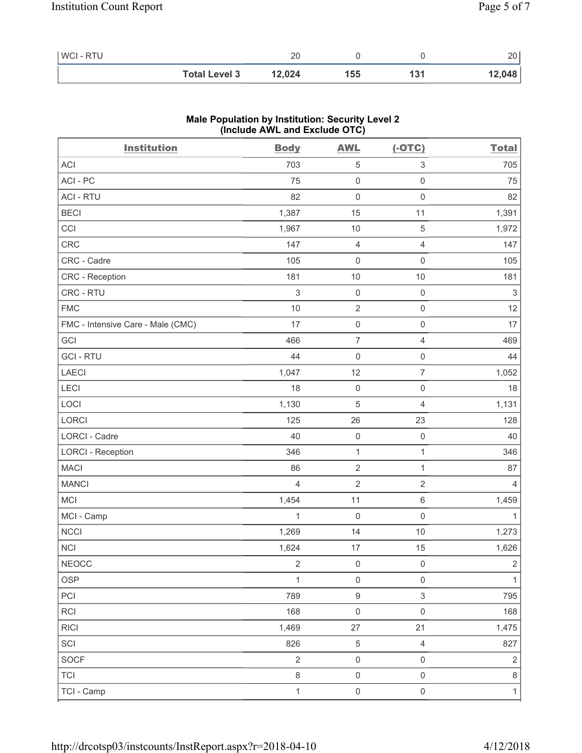| WCI - RTU |                      | 20     |     |       | 20     |
|-----------|----------------------|--------|-----|-------|--------|
|           | <b>Total Level 3</b> | 12,024 | 155 | ∣ ∪ ו | 12,048 |

### **Male Population by Institution: Security Level 2 (Include AWL and Exclude OTC)**

| <b>Institution</b>                | <b>Body</b>    | <b>AWL</b>          | $(-OTC)$                 | <b>Total</b>   |
|-----------------------------------|----------------|---------------------|--------------------------|----------------|
| <b>ACI</b>                        | 703            | $\sqrt{5}$          | 3                        | 705            |
| ACI - PC                          | 75             | $\mathsf{O}\xspace$ | $\mathsf{O}\xspace$      | 75             |
| <b>ACI - RTU</b>                  | 82             | $\mathbf 0$         | $\mathsf{O}\xspace$      | 82             |
| <b>BECI</b>                       | 1,387          | 15                  | 11                       | 1,391          |
| CCI                               | 1,967          | 10                  | $\,$ 5 $\,$              | 1,972          |
| <b>CRC</b>                        | 147            | $\overline{4}$      | $\overline{4}$           | 147            |
| CRC - Cadre                       | 105            | $\mathsf{O}\xspace$ | $\mathsf{O}\xspace$      | 105            |
| <b>CRC</b> - Reception            | 181            | 10                  | $10$                     | 181            |
| CRC - RTU                         | $\sqrt{3}$     | $\mathsf{O}\xspace$ | $\mathsf 0$              | $\sqrt{3}$     |
| <b>FMC</b>                        | 10             | $\sqrt{2}$          | $\mathsf{O}\xspace$      | 12             |
| FMC - Intensive Care - Male (CMC) | 17             | $\mathbf 0$         | $\mathsf{O}\xspace$      | 17             |
| GCI                               | 466            | $\boldsymbol{7}$    | $\overline{\mathcal{L}}$ | 469            |
| <b>GCI-RTU</b>                    | 44             | $\mathbf 0$         | $\mathsf 0$              | 44             |
| LAECI                             | 1,047          | 12                  | $\overline{7}$           | 1,052          |
| LECI                              | 18             | $\mathbf 0$         | $\mathsf{O}\xspace$      | 18             |
| LOCI                              | 1,130          | $\overline{5}$      | 4                        | 1,131          |
| LORCI                             | 125            | 26                  | 23                       | 128            |
| LORCI - Cadre                     | 40             | $\mathsf{O}\xspace$ | $\mathsf{O}\xspace$      | 40             |
| <b>LORCI - Reception</b>          | 346            | $\mathbf{1}$        | $\mathbf{1}$             | 346            |
| <b>MACI</b>                       | 86             | $\sqrt{2}$          | $\mathbf{1}$             | 87             |
| <b>MANCI</b>                      | $\overline{4}$ | $\overline{2}$      | $\sqrt{2}$               | $\overline{4}$ |
| MCI                               | 1,454          | 11                  | 6                        | 1,459          |
| MCI - Camp                        | $\mathbf{1}$   | $\mathbf 0$         | $\mathsf{O}\xspace$      | $\mathbf{1}$   |
| <b>NCCI</b>                       | 1,269          | 14                  | 10                       | 1,273          |
| <b>NCI</b>                        | 1,624          | 17                  | 15                       | 1,626          |
| NEOCC                             | $\sqrt{2}$     | $\mathsf 0$         | $\boldsymbol{0}$         | $\mathbf 2$    |
| <b>OSP</b>                        | 1              | $\mathsf 0$         | $\mathsf 0$              | $\mathbf{1}$   |
| PCI                               | 789            | $\boldsymbol{9}$    | 3                        | 795            |
| <b>RCI</b>                        | 168            | $\mathbf 0$         | $\mathsf{O}\xspace$      | 168            |
| <b>RICI</b>                       | 1,469          | $27\,$              | 21                       | 1,475          |
| SCI                               | 826            | $\,$ 5 $\,$         | $\overline{4}$           | 827            |
| SOCF                              | $\sqrt{2}$     | $\mathsf{O}\xspace$ | $\mathsf{O}\xspace$      | $\sqrt{2}$     |
| <b>TCI</b>                        | $\,8\,$        | $\mathsf{O}\xspace$ | $\mathsf{O}\xspace$      | $\,8\,$        |
| TCI - Camp                        | $\mathbf{1}$   | $\mathsf{O}\xspace$ | $\mathsf{O}\xspace$      | $\mathbf{1}$   |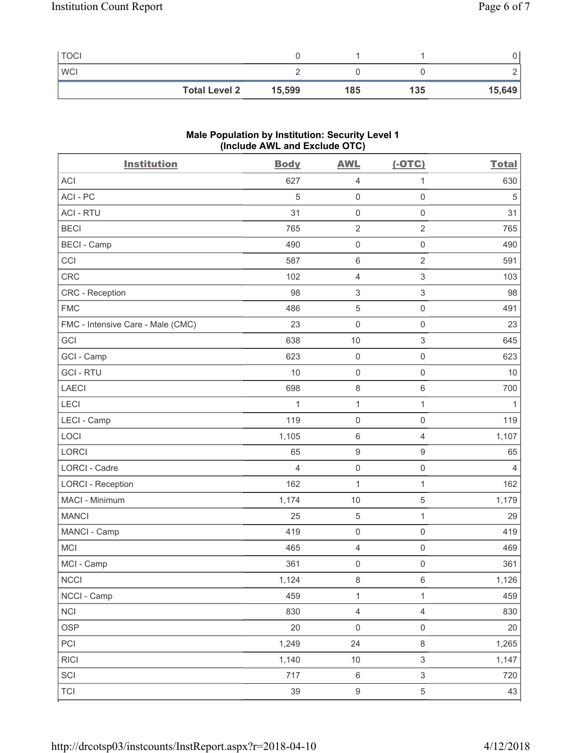| <b>TOCI</b>          |        |     |     |        |
|----------------------|--------|-----|-----|--------|
| <b>WCI</b>           |        |     |     |        |
| <b>Total Level 2</b> | 15,599 | 185 | 135 | 15,649 |

### **Male Population by Institution: Security Level 1 (Include AWL and Exclude OTC)**

| <b>Institution</b>                | <b>Body</b>    | <b>AWL</b>          | $(-OTC)$                  | <b>Total</b> |
|-----------------------------------|----------------|---------------------|---------------------------|--------------|
| <b>ACI</b>                        | 627            | 4                   | 1                         | 630          |
| ACI - PC                          | 5              | $\mathsf{O}\xspace$ | $\mathsf{O}\xspace$       | 5            |
| <b>ACI - RTU</b>                  | 31             | $\mathsf 0$         | $\mathsf{O}\xspace$       | 31           |
| <b>BECI</b>                       | 765            | $\sqrt{2}$          | $\overline{2}$            | 765          |
| <b>BECI</b> - Camp                | 490            | $\mathsf 0$         | $\mathsf 0$               | 490          |
| CCI                               | 587            | $\,6\,$             | $\sqrt{2}$                | 591          |
| CRC                               | 102            | 4                   | 3                         | 103          |
| CRC - Reception                   | 98             | $\,$ 3 $\,$         | $\ensuremath{\mathsf{3}}$ | 98           |
| <b>FMC</b>                        | 486            | $\sqrt{5}$          | $\mathsf{O}\xspace$       | 491          |
| FMC - Intensive Care - Male (CMC) | 23             | $\mathsf{O}\xspace$ | $\mathsf{O}\xspace$       | 23           |
| GCI                               | 638            | 10                  | 3                         | 645          |
| GCI - Camp                        | 623            | $\mathsf{O}\xspace$ | 0                         | 623          |
| <b>GCI-RTU</b>                    | 10             | $\mathsf 0$         | 0                         | 10           |
| <b>LAECI</b>                      | 698            | 8                   | $\,6\,$                   | 700          |
| LECI                              | $\mathbf 1$    | $\mathbf{1}$        | 1                         | 1            |
| LECI - Camp                       | 119            | $\mathsf 0$         | $\mathsf{O}\xspace$       | 119          |
| LOCI                              | 1,105          | $\,6\,$             | 4                         | 1,107        |
| <b>LORCI</b>                      | 65             | $\boldsymbol{9}$    | $\hbox{9}$                | 65           |
| <b>LORCI - Cadre</b>              | $\overline{4}$ | $\mathsf{O}\xspace$ | $\mathsf{O}\xspace$       | 4            |
| <b>LORCI - Reception</b>          | 162            | $\mathbf{1}$        | 1                         | 162          |
| MACI - Minimum                    | 1,174          | 10                  | 5                         | 1,179        |
| <b>MANCI</b>                      | 25             | 5                   | $\mathbf 1$               | 29           |
| MANCI - Camp                      | 419            | $\mathsf 0$         | $\mathsf 0$               | 419          |
| <b>MCI</b>                        | 465            | 4                   | $\mathsf 0$               | 469          |
| MCI - Camp                        | 361            | 0                   | $\mathsf{O}\xspace$       | 361          |
| NCCI                              | 1,124          | $\,8\,$             | 6                         | 1,126        |
| NCCI - Camp                       | 459            | $\mathbf{1}$        | $\mathbf{1}$              | 459          |
| <b>NCI</b>                        | 830            | $\overline{4}$      | $\overline{4}$            | 830          |
| <b>OSP</b>                        | 20             | $\mathsf 0$         | $\mathsf{O}\xspace$       | 20           |
| PCI                               | 1,249          | 24                  | $\,8\,$                   | 1,265        |
| <b>RICI</b>                       | 1,140          | $10$                | $\mathfrak{S}$            | 1,147        |
| SCI                               | 717            | $\,6\,$             | $\,$ 3 $\,$               | 720          |
| <b>TCI</b>                        | 39             | $\boldsymbol{9}$    | $\,$ 5 $\,$               | 43           |